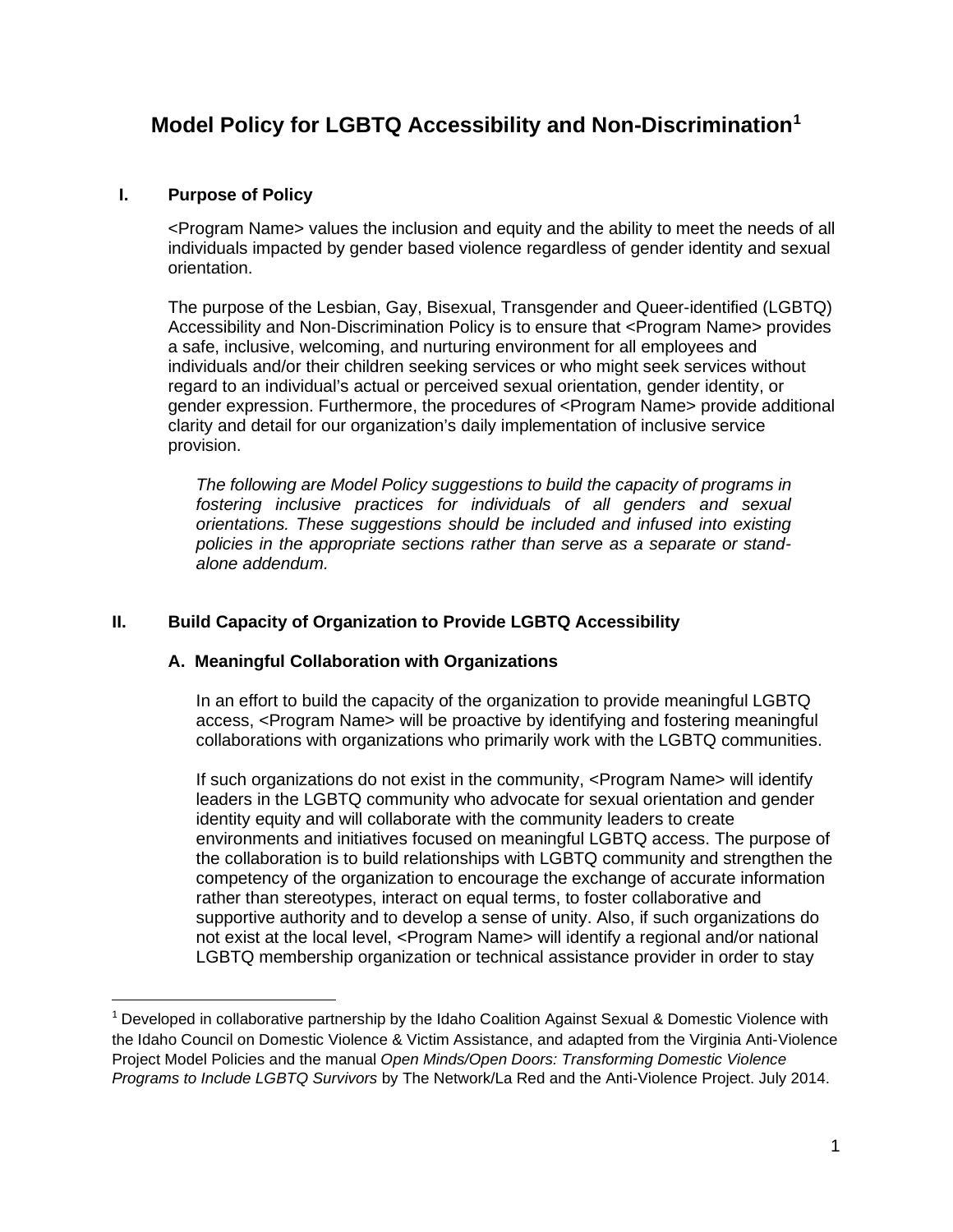# **Model Policy for LGBTQ Accessibility and Non-Discrimination[1](#page-0-0)**

## **I. Purpose of Policy**

<Program Name> values the inclusion and equity and the ability to meet the needs of all individuals impacted by gender based violence regardless of gender identity and sexual orientation.

The purpose of the Lesbian, Gay, Bisexual, Transgender and Queer-identified (LGBTQ) Accessibility and Non-Discrimination Policy is to ensure that <Program Name> provides a safe, inclusive, welcoming, and nurturing environment for all employees and individuals and/or their children seeking services or who might seek services without regard to an individual's actual or perceived sexual orientation, gender identity, or gender expression. Furthermore, the procedures of <Program Name> provide additional clarity and detail for our organization's daily implementation of inclusive service provision.

*The following are Model Policy suggestions to build the capacity of programs in fostering inclusive practices for individuals of all genders and sexual orientations. These suggestions should be included and infused into existing policies in the appropriate sections rather than serve as a separate or standalone addendum.*

# **II. Build Capacity of Organization to Provide LGBTQ Accessibility**

## **A. Meaningful Collaboration with Organizations**

In an effort to build the capacity of the organization to provide meaningful LGBTQ access, <Program Name> will be proactive by identifying and fostering meaningful collaborations with organizations who primarily work with the LGBTQ communities.

If such organizations do not exist in the community, <Program Name> will identify leaders in the LGBTQ community who advocate for sexual orientation and gender identity equity and will collaborate with the community leaders to create environments and initiatives focused on meaningful LGBTQ access. The purpose of the collaboration is to build relationships with LGBTQ community and strengthen the competency of the organization to encourage the exchange of accurate information rather than stereotypes, interact on equal terms, to foster collaborative and supportive authority and to develop a sense of unity. Also, if such organizations do not exist at the local level, <Program Name> will identify a regional and/or national LGBTQ membership organization or technical assistance provider in order to stay

<span id="page-0-0"></span><sup>&</sup>lt;sup>1</sup> Developed in collaborative partnership by the Idaho Coalition Against Sexual & Domestic Violence with the Idaho Council on Domestic Violence & Victim Assistance, and adapted from the Virginia Anti-Violence Project Model Policies and the manual *Open Minds/Open Doors: Transforming Domestic Violence Programs to Include LGBTQ Survivors* by The Network/La Red and the Anti-Violence Project. July 2014.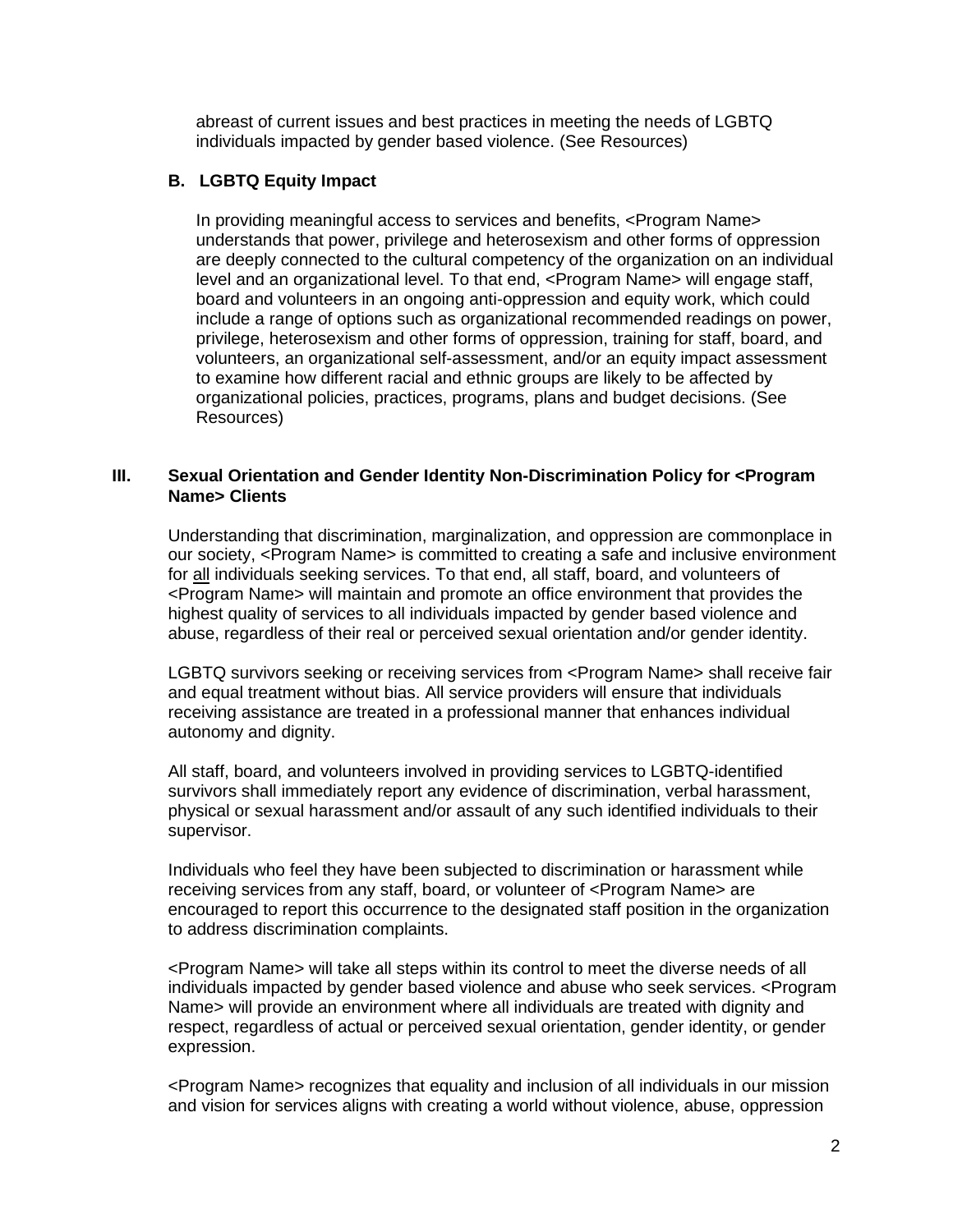abreast of current issues and best practices in meeting the needs of LGBTQ individuals impacted by gender based violence. (See Resources)

# **B. LGBTQ Equity Impact**

In providing meaningful access to services and benefits, <Program Name> understands that power, privilege and heterosexism and other forms of oppression are deeply connected to the cultural competency of the organization on an individual level and an organizational level. To that end, <Program Name> will engage staff, board and volunteers in an ongoing anti-oppression and equity work, which could include a range of options such as organizational recommended readings on power, privilege, heterosexism and other forms of oppression, training for staff, board, and volunteers, an organizational self-assessment, and/or an equity impact assessment to examine how different racial and ethnic groups are likely to be affected by organizational policies, practices, programs, plans and budget decisions. (See Resources)

## **III. Sexual Orientation and Gender Identity Non-Discrimination Policy for <Program Name> Clients**

Understanding that discrimination, marginalization, and oppression are commonplace in our society, <Program Name> is committed to creating a safe and inclusive environment for all individuals seeking services. To that end, all staff, board, and volunteers of <Program Name> will maintain and promote an office environment that provides the highest quality of services to all individuals impacted by gender based violence and abuse, regardless of their real or perceived sexual orientation and/or gender identity.

LGBTQ survivors seeking or receiving services from <Program Name> shall receive fair and equal treatment without bias. All service providers will ensure that individuals receiving assistance are treated in a professional manner that enhances individual autonomy and dignity.

All staff, board, and volunteers involved in providing services to LGBTQ-identified survivors shall immediately report any evidence of discrimination, verbal harassment, physical or sexual harassment and/or assault of any such identified individuals to their supervisor.

Individuals who feel they have been subjected to discrimination or harassment while receiving services from any staff, board, or volunteer of <Program Name> are encouraged to report this occurrence to the designated staff position in the organization to address discrimination complaints.

<Program Name> will take all steps within its control to meet the diverse needs of all individuals impacted by gender based violence and abuse who seek services. <Program Name> will provide an environment where all individuals are treated with dignity and respect, regardless of actual or perceived sexual orientation, gender identity, or gender expression.

<Program Name> recognizes that equality and inclusion of all individuals in our mission and vision for services aligns with creating a world without violence, abuse, oppression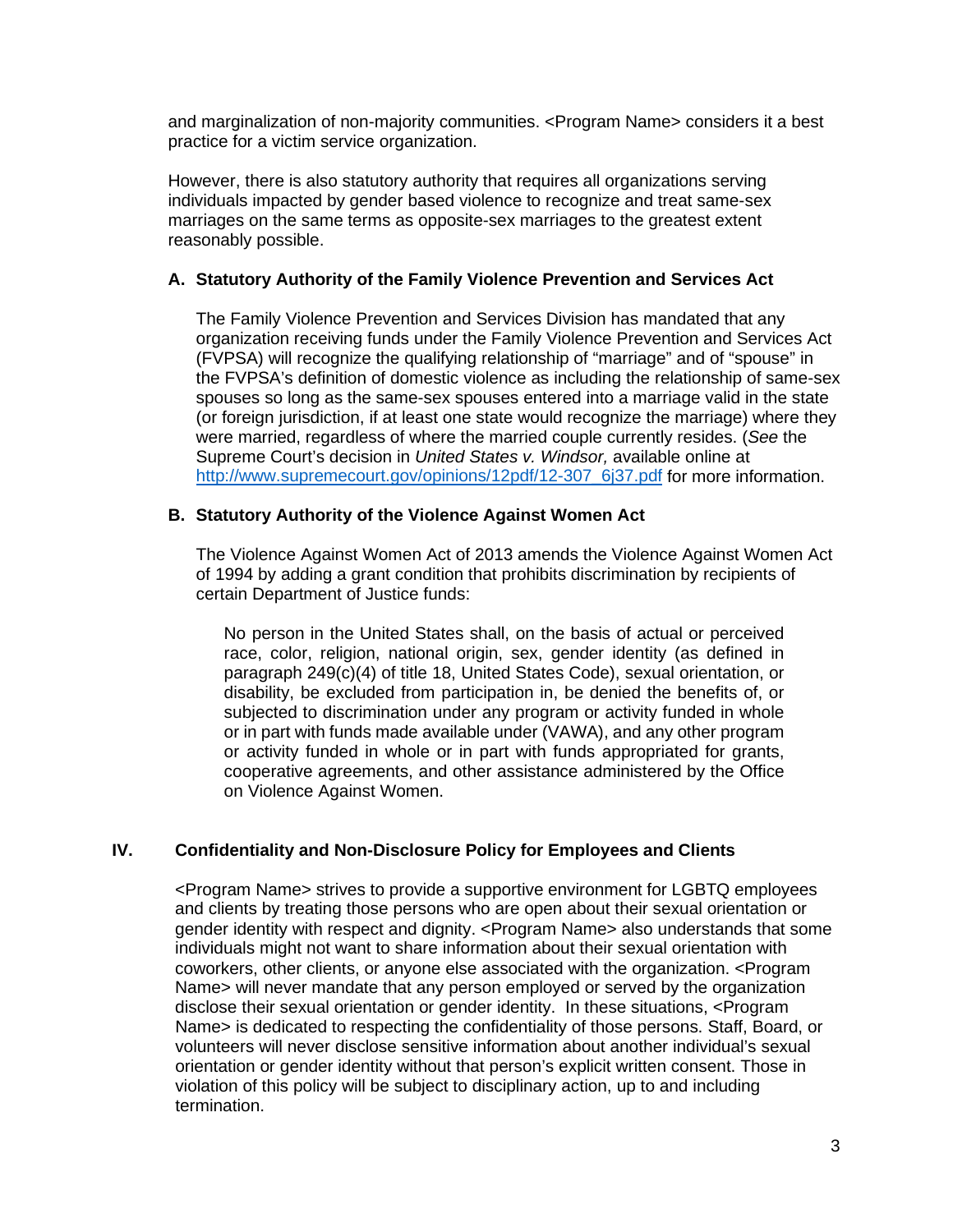and marginalization of non-majority communities. <Program Name> considers it a best practice for a victim service organization.

However, there is also statutory authority that requires all organizations serving individuals impacted by gender based violence to recognize and treat same-sex marriages on the same terms as opposite-sex marriages to the greatest extent reasonably possible.

## **A. Statutory Authority of the Family Violence Prevention and Services Act**

The Family Violence Prevention and Services Division has mandated that any organization receiving funds under the Family Violence Prevention and Services Act (FVPSA) will recognize the qualifying relationship of "marriage" and of "spouse" in the FVPSA's definition of domestic violence as including the relationship of same-sex spouses so long as the same-sex spouses entered into a marriage valid in the state (or foreign jurisdiction, if at least one state would recognize the marriage) where they were married, regardless of where the married couple currently resides. (*See* the Supreme Court's decision in *United States v. Windsor,* available online at [http://www.supremecourt.gov/opinions/12pdf/12-307\\_6j37.pdf](http://www.supremecourt.gov/opinions/12pdf/12-307_6j37.pdf) for more information.

#### **B. Statutory Authority of the Violence Against Women Act**

The Violence Against Women Act of 2013 amends the Violence Against Women Act of 1994 by adding a grant condition that prohibits discrimination by recipients of certain Department of Justice funds:

No person in the United States shall, on the basis of actual or perceived race, color, religion, national origin, sex, gender identity (as defined in paragraph 249(c)(4) of title 18, United States Code), sexual orientation, or disability, be excluded from participation in, be denied the benefits of, or subjected to discrimination under any program or activity funded in whole or in part with funds made available under (VAWA), and any other program or activity funded in whole or in part with funds appropriated for grants, cooperative agreements, and other assistance administered by the Office on Violence Against Women.

## **IV. Confidentiality and Non-Disclosure Policy for Employees and Clients**

<Program Name> strives to provide a supportive environment for LGBTQ employees and clients by treating those persons who are open about their sexual orientation or gender identity with respect and dignity. <Program Name> also understands that some individuals might not want to share information about their sexual orientation with coworkers, other clients, or anyone else associated with the organization. <Program Name> will never mandate that any person employed or served by the organization disclose their sexual orientation or gender identity. In these situations, <Program Name> is dedicated to respecting the confidentiality of those persons. Staff, Board, or volunteers will never disclose sensitive information about another individual's sexual orientation or gender identity without that person's explicit written consent. Those in violation of this policy will be subject to disciplinary action, up to and including termination.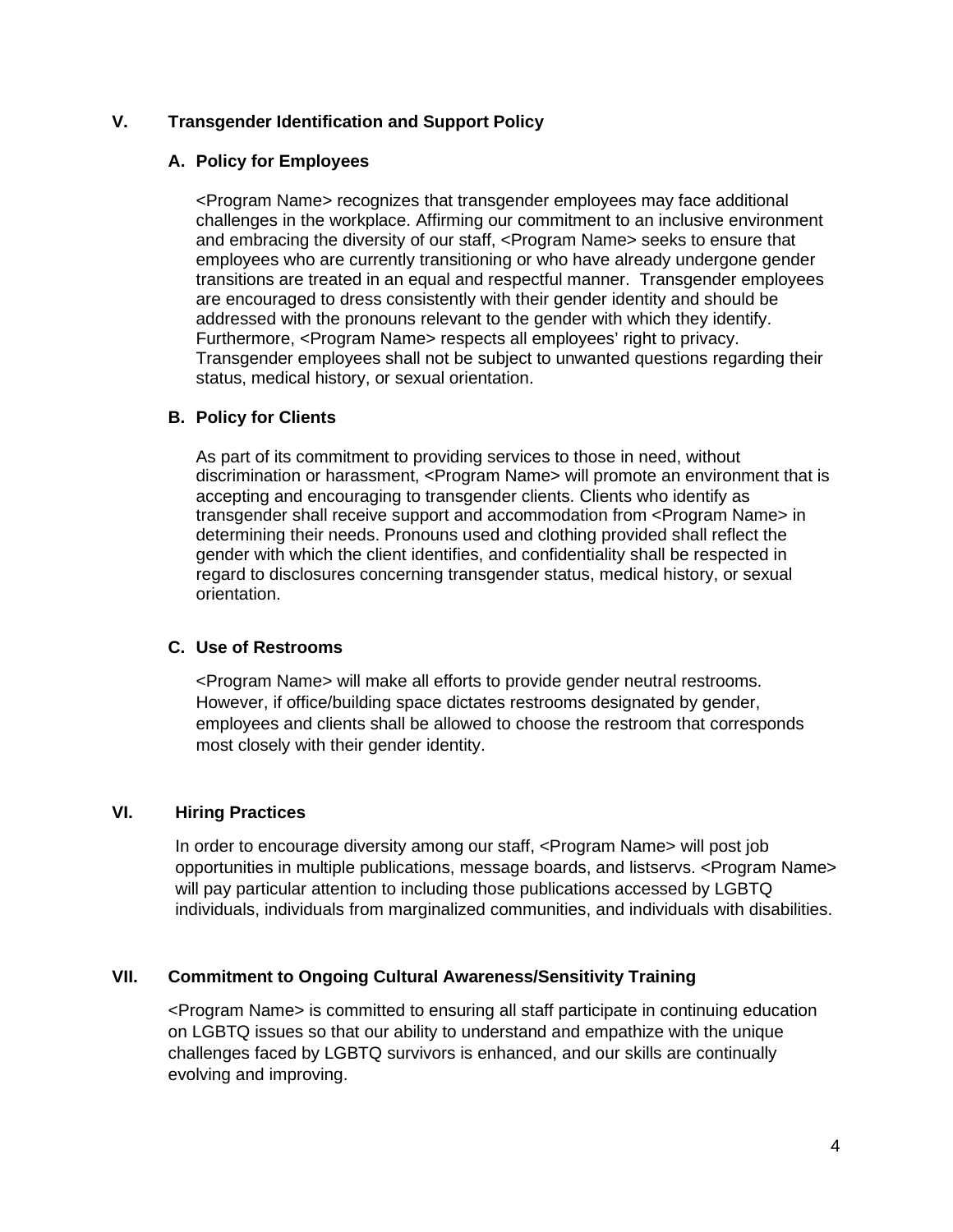## **V. Transgender Identification and Support Policy**

## **A. Policy for Employees**

<Program Name> recognizes that transgender employees may face additional challenges in the workplace. Affirming our commitment to an inclusive environment and embracing the diversity of our staff, <Program Name> seeks to ensure that employees who are currently transitioning or who have already undergone gender transitions are treated in an equal and respectful manner. Transgender employees are encouraged to dress consistently with their gender identity and should be addressed with the pronouns relevant to the gender with which they identify. Furthermore, <Program Name> respects all employees' right to privacy. Transgender employees shall not be subject to unwanted questions regarding their status, medical history, or sexual orientation.

## **B. Policy for Clients**

As part of its commitment to providing services to those in need, without discrimination or harassment, <Program Name> will promote an environment that is accepting and encouraging to transgender clients. Clients who identify as transgender shall receive support and accommodation from <Program Name> in determining their needs. Pronouns used and clothing provided shall reflect the gender with which the client identifies, and confidentiality shall be respected in regard to disclosures concerning transgender status, medical history, or sexual orientation.

## **C. Use of Restrooms**

<Program Name> will make all efforts to provide gender neutral restrooms. However, if office/building space dictates restrooms designated by gender, employees and clients shall be allowed to choose the restroom that corresponds most closely with their gender identity.

# **VI. Hiring Practices**

In order to encourage diversity among our staff, <Program Name> will post job opportunities in multiple publications, message boards, and listservs. <Program Name> will pay particular attention to including those publications accessed by LGBTQ individuals, individuals from marginalized communities, and individuals with disabilities.

## **VII. Commitment to Ongoing Cultural Awareness/Sensitivity Training**

<Program Name> is committed to ensuring all staff participate in continuing education on LGBTQ issues so that our ability to understand and empathize with the unique challenges faced by LGBTQ survivors is enhanced, and our skills are continually evolving and improving.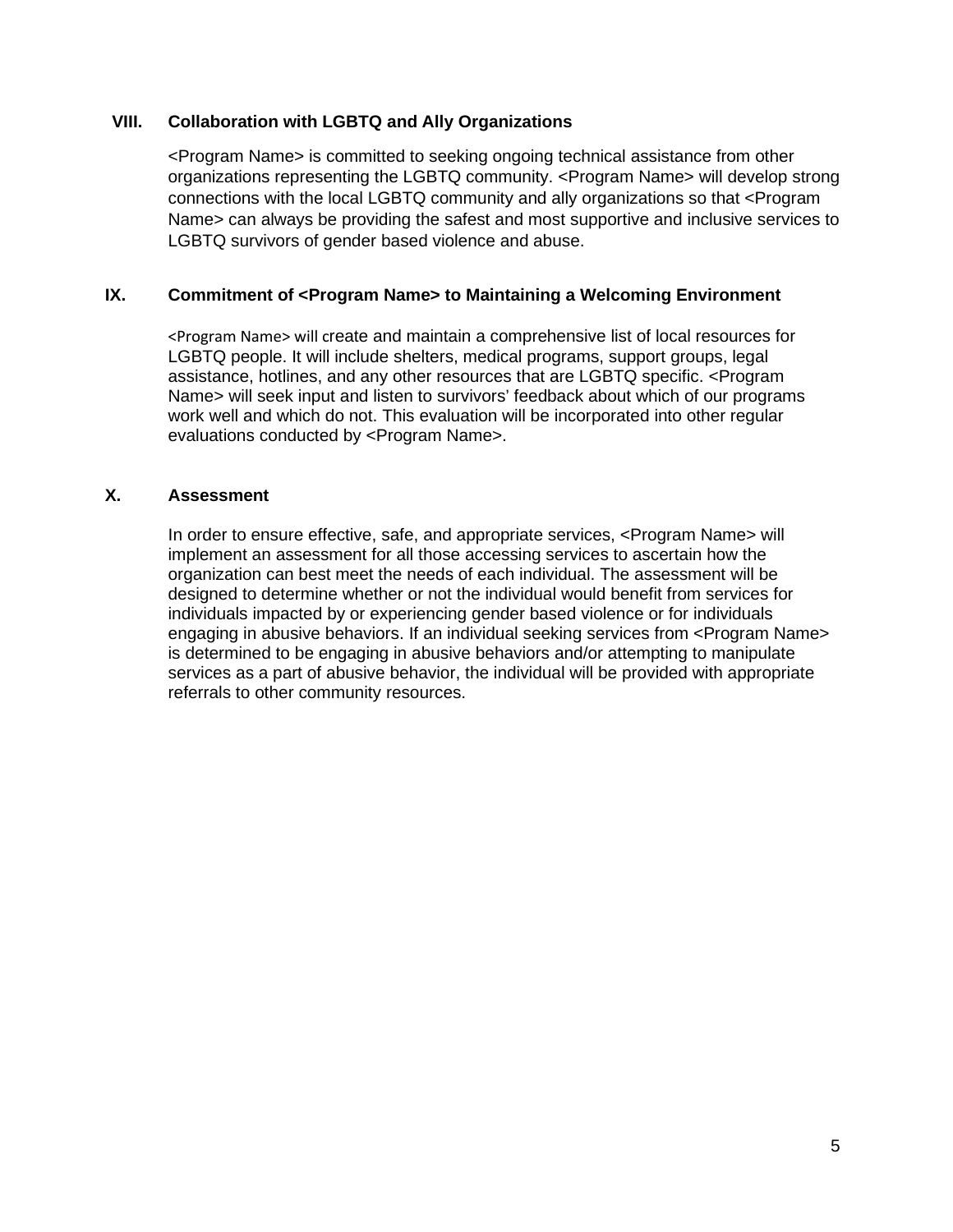#### **VIII. Collaboration with LGBTQ and Ally Organizations**

<Program Name> is committed to seeking ongoing technical assistance from other organizations representing the LGBTQ community. <Program Name> will develop strong connections with the local LGBTQ community and ally organizations so that <Program Name> can always be providing the safest and most supportive and inclusive services to LGBTQ survivors of gender based violence and abuse.

## **IX. Commitment of <Program Name> to Maintaining a Welcoming Environment**

<Program Name> will create and maintain a comprehensive list of local resources for LGBTQ people. It will include shelters, medical programs, support groups, legal assistance, hotlines, and any other resources that are LGBTQ specific. <Program Name> will seek input and listen to survivors' feedback about which of our programs work well and which do not. This evaluation will be incorporated into other regular evaluations conducted by <Program Name>.

#### **X. Assessment**

In order to ensure effective, safe, and appropriate services, <Program Name> will implement an assessment for all those accessing services to ascertain how the organization can best meet the needs of each individual. The assessment will be designed to determine whether or not the individual would benefit from services for individuals impacted by or experiencing gender based violence or for individuals engaging in abusive behaviors. If an individual seeking services from <Program Name> is determined to be engaging in abusive behaviors and/or attempting to manipulate services as a part of abusive behavior, the individual will be provided with appropriate referrals to other community resources.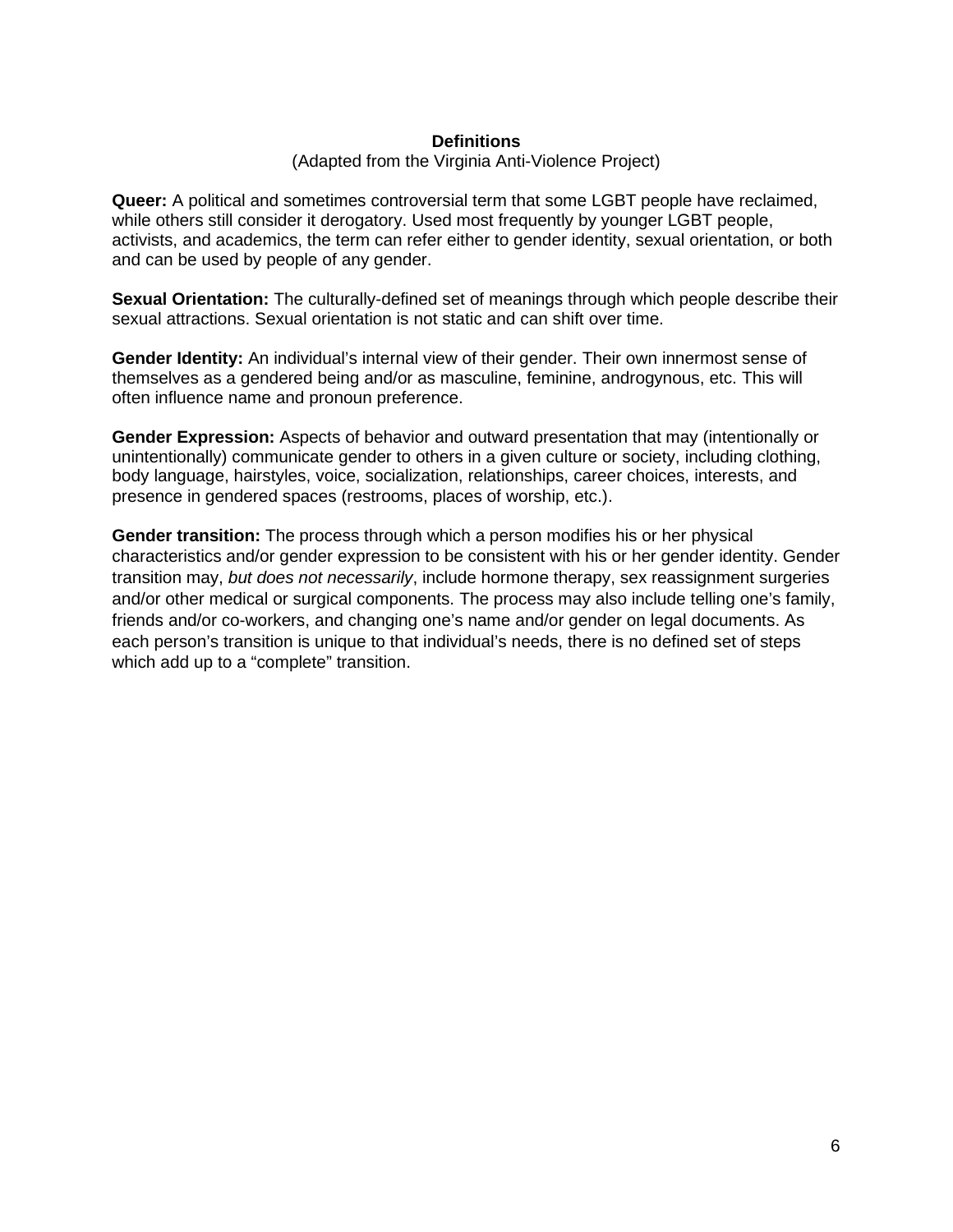#### **Definitions**

#### (Adapted from the Virginia Anti-Violence Project)

**Queer:** A political and sometimes controversial term that some LGBT people have reclaimed, while others still consider it derogatory. Used most frequently by younger LGBT people, activists, and academics, the term can refer either to gender identity, sexual orientation, or both and can be used by people of any gender.

**Sexual Orientation:** The culturally-defined set of meanings through which people describe their sexual attractions. Sexual orientation is not static and can shift over time.

**Gender Identity:** An individual's internal view of their gender. Their own innermost sense of themselves as a gendered being and/or as masculine, feminine, androgynous, etc. This will often influence name and pronoun preference.

**Gender Expression:** Aspects of behavior and outward presentation that may (intentionally or unintentionally) communicate gender to others in a given culture or society, including clothing, body language, hairstyles, voice, socialization, relationships, career choices, interests, and presence in gendered spaces (restrooms, places of worship, etc.).

**Gender transition:** The process through which a person modifies his or her physical characteristics and/or gender expression to be consistent with his or her gender identity. Gender transition may, *but does not necessarily*, include hormone therapy, sex reassignment surgeries and/or other medical or surgical components. The process may also include telling one's family, friends and/or co-workers, and changing one's name and/or gender on legal documents. As each person's transition is unique to that individual's needs, there is no defined set of steps which add up to a "complete" transition.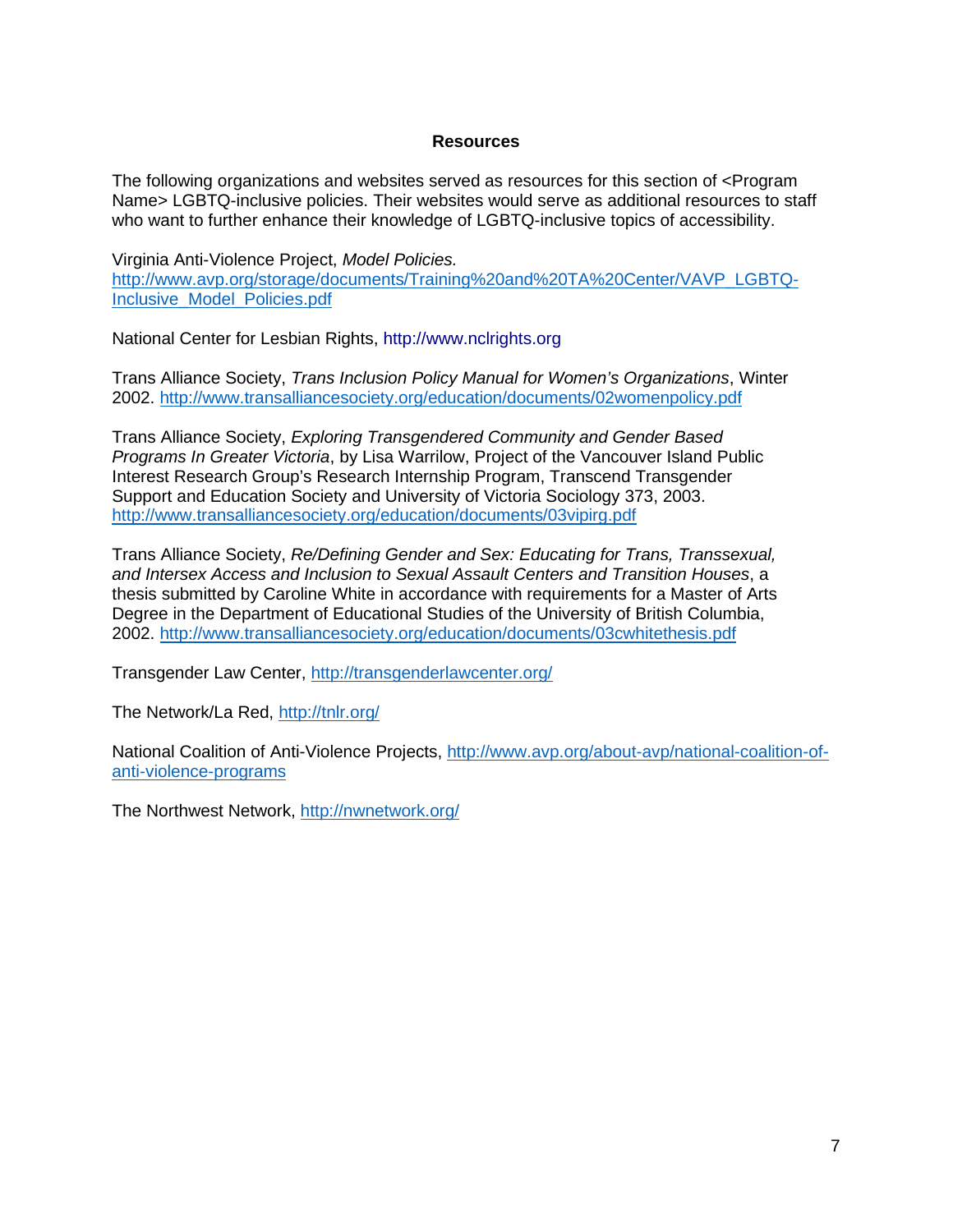### **Resources**

The following organizations and websites served as resources for this section of <Program Name> LGBTQ-inclusive policies. Their websites would serve as additional resources to staff who want to further enhance their knowledge of LGBTQ-inclusive topics of accessibility.

Virginia Anti-Violence Project, *Model Policies.*  [http://www.avp.org/storage/documents/Training%20and%20TA%20Center/VAVP\\_LGBTQ-](http://www.avp.org/storage/documents/Training%20and%20TA%20Center/VAVP_LGBTQ-Inclusive_Model_Policies.pdf)[Inclusive\\_Model\\_Policies.pdf](http://www.avp.org/storage/documents/Training%20and%20TA%20Center/VAVP_LGBTQ-Inclusive_Model_Policies.pdf)

National Center for Lesbian Rights, http://www.nclrights.org

Trans Alliance Society, *Trans Inclusion Policy Manual for Women's Organizations*, Winter 2002.<http://www.transalliancesociety.org/education/documents/02womenpolicy.pdf>

Trans Alliance Society, *Exploring Transgendered Community and Gender Based Programs In Greater Victoria*, by Lisa Warrilow, Project of the Vancouver Island Public Interest Research Group's Research Internship Program, Transcend Transgender Support and Education Society and University of Victoria Sociology 373, 2003. <http://www.transalliancesociety.org/education/documents/03vipirg.pdf>

Trans Alliance Society, *Re/Defining Gender and Sex: Educating for Trans, Transsexual, and Intersex Access and Inclusion to Sexual Assault Centers and Transition Houses*, a thesis submitted by Caroline White in accordance with requirements for a Master of Arts Degree in the Department of Educational Studies of the University of British Columbia, 2002.<http://www.transalliancesociety.org/education/documents/03cwhitethesis.pdf>

Transgender Law Center,<http://transgenderlawcenter.org/>

The Network/La Red,<http://tnlr.org/>

National Coalition of Anti-Violence Projects, [http://www.avp.org/about-avp/national-coalition-of](http://www.avp.org/about-avp/national-coalition-of-anti-violence-programs)[anti-violence-programs](http://www.avp.org/about-avp/national-coalition-of-anti-violence-programs)

The Northwest Network,<http://nwnetwork.org/>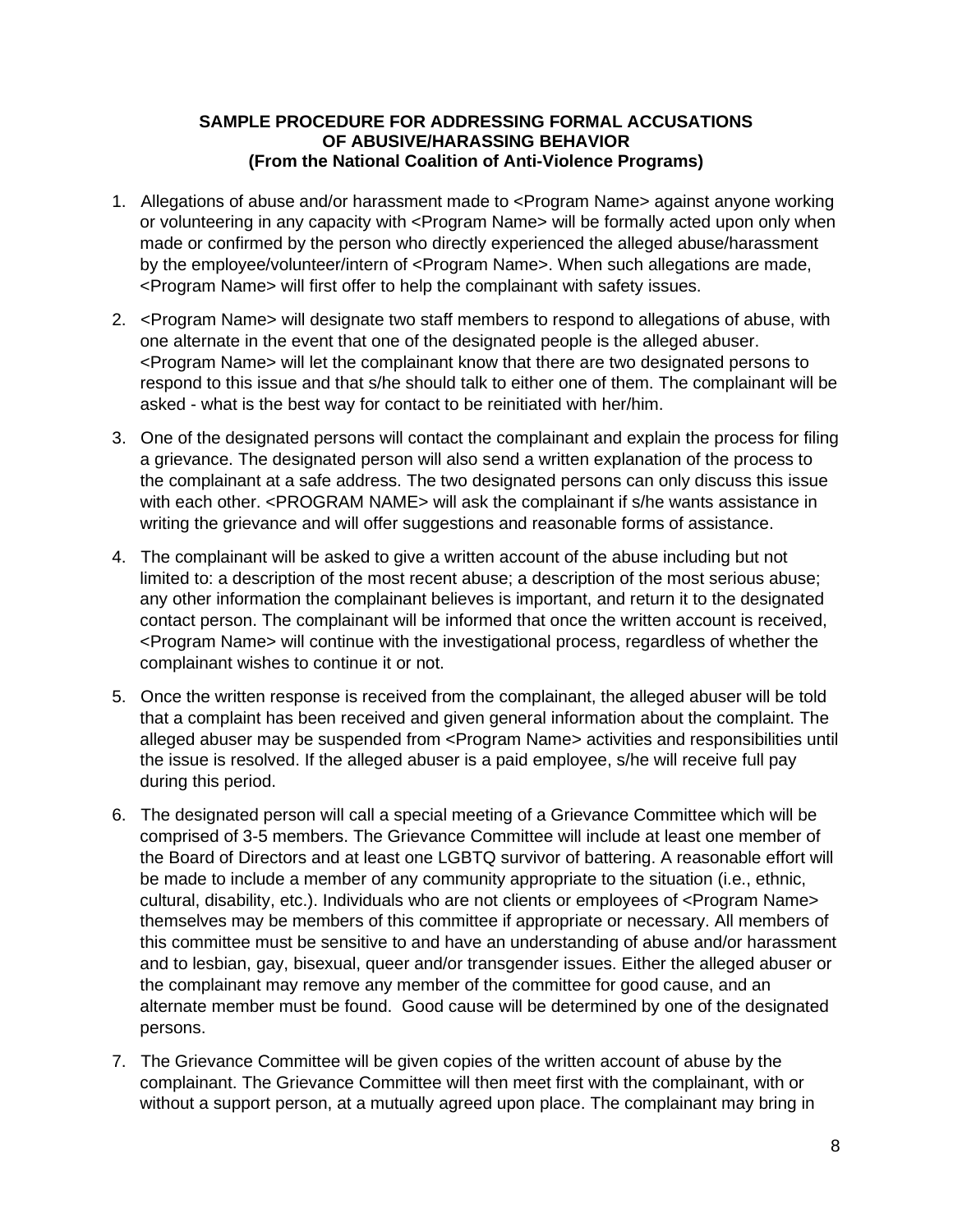## **SAMPLE PROCEDURE FOR ADDRESSING FORMAL ACCUSATIONS OF ABUSIVE/HARASSING BEHAVIOR (From the National Coalition of Anti-Violence Programs)**

- 1. Allegations of abuse and/or harassment made to <Program Name> against anyone working or volunteering in any capacity with <Program Name> will be formally acted upon only when made or confirmed by the person who directly experienced the alleged abuse/harassment by the employee/volunteer/intern of <Program Name>. When such allegations are made, <Program Name> will first offer to help the complainant with safety issues.
- 2. <Program Name> will designate two staff members to respond to allegations of abuse, with one alternate in the event that one of the designated people is the alleged abuser. <Program Name> will let the complainant know that there are two designated persons to respond to this issue and that s/he should talk to either one of them. The complainant will be asked - what is the best way for contact to be reinitiated with her/him.
- 3. One of the designated persons will contact the complainant and explain the process for filing a grievance. The designated person will also send a written explanation of the process to the complainant at a safe address. The two designated persons can only discuss this issue with each other. <PROGRAM NAME> will ask the complainant if s/he wants assistance in writing the grievance and will offer suggestions and reasonable forms of assistance.
- 4. The complainant will be asked to give a written account of the abuse including but not limited to: a description of the most recent abuse; a description of the most serious abuse; any other information the complainant believes is important, and return it to the designated contact person. The complainant will be informed that once the written account is received, <Program Name> will continue with the investigational process, regardless of whether the complainant wishes to continue it or not.
- 5. Once the written response is received from the complainant, the alleged abuser will be told that a complaint has been received and given general information about the complaint. The alleged abuser may be suspended from <Program Name> activities and responsibilities until the issue is resolved. If the alleged abuser is a paid employee, s/he will receive full pay during this period.
- 6. The designated person will call a special meeting of a Grievance Committee which will be comprised of 3-5 members. The Grievance Committee will include at least one member of the Board of Directors and at least one LGBTQ survivor of battering. A reasonable effort will be made to include a member of any community appropriate to the situation (i.e., ethnic, cultural, disability, etc.). Individuals who are not clients or employees of <Program Name> themselves may be members of this committee if appropriate or necessary. All members of this committee must be sensitive to and have an understanding of abuse and/or harassment and to lesbian, gay, bisexual, queer and/or transgender issues. Either the alleged abuser or the complainant may remove any member of the committee for good cause, and an alternate member must be found. Good cause will be determined by one of the designated persons.
- 7. The Grievance Committee will be given copies of the written account of abuse by the complainant. The Grievance Committee will then meet first with the complainant, with or without a support person, at a mutually agreed upon place. The complainant may bring in